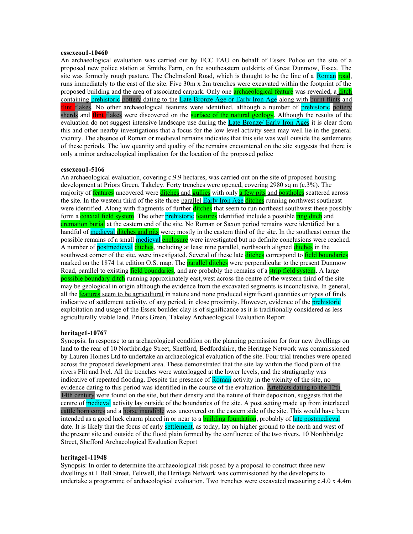## **essexcou1-10460**

An archaeological evaluation was carried out by ECC FAU on behalf of Essex Police on the site of a proposed new police station at Smiths Farm, on the southeastern outskirts of Great Dunmow, Essex. The site was formerly rough pasture. The Chelmsford Road, which is thought to be the line of a Roman road, runs immediately to the east of the site. Five 30m x 2m trenches were excavated within the footprint of the proposed building and the area of associated carpark. Only one **archaeological feature** was revealed, a *ditch* containing **prehistoric** pottery dating to the Late Bronze Age or Early Iron Age along with burnt flints and flint flakes. No other archaeological features were identified, although a number of prehistoric pottery sherds and flint flakes were discovered on the surface of the natural geology. Although the results of the evaluation do not suggest intensive landscape use during the Late Bronze/ Early Iron Ages it is clear from this and other nearby investigations that a focus for the low level activity seen may well lie in the general vicinity. The absence of Roman or medieval remains indicates that this site was well outside the settlements of these periods. The low quantity and quality of the remains encountered on the site suggests that there is only a minor archaeological implication for the location of the proposed police

### **essexcou1-5166**

An archaeological evaluation, covering c.9.9 hectares, was carried out on the site of proposed housing development at Priors Green, Takeley. Forty trenches were opened, covering 2980 sq m (c.3%). The majority of **features** uncovered were ditches and **gullies** with only a few pits and postholes scattered across the site. In the western third of the site three parallel Early Iron Age ditches running northwest southeast were identified. Along with fragments of further **ditches** that seem to run northeast southwest these possibly form a coaxial field system. The other prehistoric features identified include a possible ring ditch and cremation burial at the eastern end of the site. No Roman or Saxon period remains were identified but a handful of **medieval ditches and pits** were; mostly in the eastern third of the site. In the southeast corner the possible remains of a small **medieval enclosure** were investigated but no definite conclusions were reached. A number of postmedieval ditches, including at least nine parallel, northsouth aligned ditches in the southwest corner of the site, were investigated. Several of these late **ditches** correspond to **field boundaries** marked on the 1874 1st edition O.S. map. The **parallel ditches** were perpendicular to the present Dunmow Road, parallel to existing field boundaries, and are probably the remains of a strip field system. A large possible boundary ditch running approximately east, west across the centre of the western third of the site may be geological in origin although the evidence from the excavated segments is inconclusive. In general, all the **features** seem to be agricultural in nature and none produced significant quantities or types of finds indicative of settlement activity, of any period, in close proximity. However, evidence of the prehistoric exploitation and usage of the Essex boulder clay is of significance as it is traditionally considered as less agriculturally viable land. Priors Green, Takeley Archaeological Evaluation Report

# **heritage1-10767**

Synopsis: In response to an archaeological condition on the planning permission for four new dwellings on land to the rear of 10 Northbridge Street, Shefford, Bedfordshire, the Heritage Network was commissioned by Lauren Homes Ltd to undertake an archaeological evaluation of the site. Four trial trenches were opened across the proposed development area. These demonstrated that the site lay within the flood plain of the rivers Flit and Ivel. All the trenches were waterlogged at the lower levels, and the stratigraphy was indicative of repeated flooding. Despite the presence of Roman activity in the vicinity of the site, no evidence dating to this period was identified in the course of the evaluation. Artefacts dating to the 12th 14th century were found on the site, but their density and the nature of their deposition, suggests that the centre of medieval activity lay outside of the boundaries of the site. A post setting made up from interlaced cattle horn cores and a horse mandible was uncovered on the eastern side of the site. This would have been intended as a good luck charm placed in or near to a **building foundation**, probably of late postmedieval date. It is likely that the focus of early settlement, as today, lay on higher ground to the north and west of the present site and outside of the flood plain formed by the confluence of the two rivers. 10 Northbridge Street, Shefford Archaeological Evaluation Report

#### **heritage1-11948**

Synopsis: In order to determine the archaeological risk posed by a proposal to construct three new dwellings at 1 Bell Street, Feltwell, the Heritage Network was commissioned by the developers to undertake a programme of archaeological evaluation. Two trenches were excavated measuring c.4.0 x 4.4m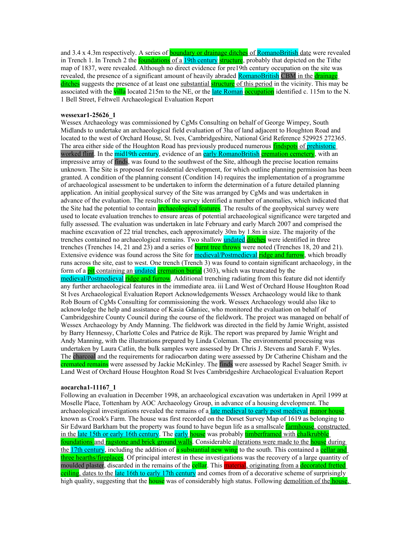and 3.4 x 4.3m respectively. A series of **boundary or drainage ditches** of **RomanoBritish** date were revealed in Trench 1. In Trench 2 the **foundations** of a 19th century structure, probably that depicted on the Tithe map of 1837, were revealed. Although no direct evidence for pre19th century occupation on the site was revealed, the presence of a significant amount of heavily abraded RomanoBritish CBM in the drainage ditches suggests the presence of at least one substantial **structure** of this period in the vicinity. This may be associated with the villa located 215m to the NE, or the late Roman occupation identified c. 115m to the N. 1 Bell Street, Feltwell Archaeological Evaluation Report

## **wessexar1-25626\_1**

Wessex Archaeology was commissioned by CgMs Consulting on behalf of George Wimpey, South Midlands to undertake an archaeological field evaluation of 3ha of land adjacent to Houghton Road and located to the west of Orchard House, St. Ives, Cambridgeshire, National Grid Reference 529925 272365. The area either side of the Houghton Road has previously produced numerous **findspots** of **prehistoric** worked flint. In the mid19th century, evidence of an early RomanoBritish cremation cemetery, with an impressive array of finds, was found to the southwest of the Site, although the precise location remains unknown. The Site is proposed for residential development, for which outline planning permission has been granted. A condition of the planning consent (Condition 14) requires the implementation of a programme of archaeological assessment to be undertaken to inform the determination of a future detailed planning application. An initial geophysical survey of the Site was arranged by CgMs and was undertaken in advance of the evaluation. The results of the survey identified a number of anomalies, which indicated that the Site had the potential to contain **archaeological features**. The results of the geophysical survey were used to locate evaluation trenches to ensure areas of potential archaeological significance were targeted and fully assessed. The evaluation was undertaken in late February and early March 2007 and comprised the machine excavation of 22 trial trenches, each approximately 30m by 1.8m in size. The majority of the trenches contained no archaeological remains. Two shallow **undated ditches** were identified in three trenches (Trenches 14, 21 and 23) and a series of **burnt tree throws** were noted (Trenches 18, 20 and 21). Extensive evidence was found across the Site for **medieval/Postmedieval ridge and furrow**, which broadly runs across the site, east to west. One trench (Trench 3) was found to contain significant archaeology, in the form of a **pit** containing an undated cremation burial (303), which was truncated by the medieval/Postmedieval ridge and furrow. Additional trenching radiating from this feature did not identify any further archaeological features in the immediate area. iii Land West of Orchard House Houghton Road St Ives Archaeological Evaluation Report Acknowledgements Wessex Archaeology would like to thank Rob Bourn of CgMs Consulting for commissioning the work. Wessex Archaeology would also like to acknowledge the help and assistance of Kasia Gdaniec, who monitored the evaluation on behalf of Cambridgeshire County Council during the course of the fieldwork. The project was managed on behalf of Wessex Archaeology by Andy Manning. The fieldwork was directed in the field by Jamie Wright, assisted by Barry Hennessy, Charlotte Coles and Patrice de Rijk. The report was prepared by Jamie Wright and Andy Manning, with the illustrations prepared by Linda Coleman. The environmental processing was undertaken by Laura Catlin, the bulk samples were assessed by Dr Chris J. Stevens and Sarah F. Wyles. The charcoal and the requirements for radiocarbon dating were assessed by Dr Catherine Chisham and the cremated remains were assessed by Jackie McKinley. The finds were assessed by Rachel Seager Smith. iv Land West of Orchard House Houghton Road St Ives Cambridgeshire Archaeological Evaluation Report

#### **aocarcha1-11167\_1**

Following an evaluation in December 1998, an archaeological excavation was undertaken in April 1999 at Moselle Place, Tottenham by AOC Archaeology Group, in advance of a housing development. The archaeological investigations revealed the remains of a late medieval to early post medieval manor house known as Crook's Farm. The house was first recorded on the Dorset Survey Map of 1619 as belonging to Sir Edward Barkham but the property was found to have begun life as a smallscale *farmhouse*, constructed in the late 15th or early 16th century. The early house was probably timberframed with chalkrubble foundations and ragstone and brick ground walls. Considerable alterations were made to the house during the 17th century, including the addition of a substantial new wing to the south. This contained a cellar and three hearths/fireplaces. Of principal interest in these investigations was the recovery of a large quantity of moulded plaster, discarded in the remains of the **cellar**. This **material**, originating from a **decorated fretted** ceiling, dates to the late 16th to early 17th century and comes from of a decorative scheme of surprisingly high quality, suggesting that the **house** was of considerably high status. Following demolition of the **house**,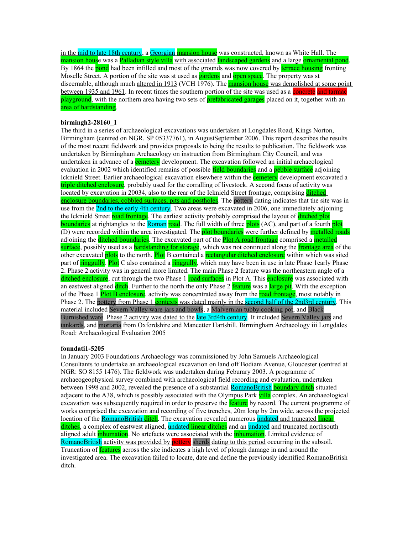in the mid to late 18th century, a Georgian mansion house was constructed, known as White Hall. The mansion house was a Palladian style villa with associated landscaped gardens and a large ornamental pond. By 1864 the pond had been infilled and most of the grounds was now covered by terrace housing fronting Moselle Street. A portion of the site was st used as **gardens** and **open space**. The property was st discernable, although much altered in 1913 (VCH 1976). The **mansion house** was demolished at some point between 1935 and 1961. In recent times the southern portion of the site was used as a concrete and tarmac playground, with the northern area having two sets of **prefabricated garages** placed on it, together with an area of hardstanding.

# **birmingh2-28160\_1**

The third in a series of archaeological excavations was undertaken at Longdales Road, Kings Norton, Birmingham (centred on NGR. SP 05337761), in AugustSeptember 2006. This report describes the results of the most recent fieldwork and provides proposals to being the results to publication. The fieldwork was undertaken by Birmingham Archaeology on instruction from Birmingham City Council, and was undertaken in advance of a **cemetery** development. The excavation followed an initial archaeological evaluation in 2002 which identified remains of possible field boundaries and a pebble surface adjoining Icknield Street. Earlier archaeological excavation elsewhere within the **cemetery** development excavated a triple ditched enclosure, probably used for the corralling of livestock. A second focus of activity was located by excavation in 20034, also to the rear of the Icknield Street frontage, comprising ditched enclosure boundaries, cobbled surfaces, pits and postholes. The pottery dating indicates that the site was in use from the 2nd to the early 4th century. Two areas were excavated in 2006, one immediately adjoining the Icknield Street road frontage. The earliest activity probably comprised the layout of ditched plot boundaries at rightangles to the Roman road. The full width of three plots (AC), and part of a fourth plot (D) were recorded within the area investigated. The **plot boundaries** were further defined by **metalled roads** adjoining the **ditched boundaries**. The excavated part of the **Plot A road frontage** comprised a **metalled** surface, possibly used as a hardstanding for storage, which was not continued along the frontage area of the other excavated plots to the north. Plot B contained a rectangular ditched enclosure within which was sited part of ringgully. Plot C also contained a ringgully, which may have been in use in late Phase 1early Phase 2. Phase 2 activity was in general more limited. The main Phase 2 feature was the northeastern angle of a ditched enclosure, cut through the two Phase 1 road surfaces in Plot A. This enclosure was associated with an eastwest aligned **ditch**. Further to the north the only Phase 2 feature was a large pit. With the exception of the Phase 1 Plot B enclosure, activity was concentrated away from the road frontage, most notably in Phase 2. The pottery from Phase 1 contexts was dated mainly in the second half of the 2nd3rd century. This material included Severn Valley ware jars and bowls, a Malvernian tubby cooking pot, and Black Burnished ware. Phase 2 activity was dated to the late 3rd4th century. It included Severn Valley jars and tankards, and mortaria from Oxfordshire and Mancetter Hartshill. Birmingham Archaeology iii Longdales Road: Archaeological Evaluation 2005

# **foundati1-5205**

In January 2003 Foundations Archaeology was commissioned by John Samuels Archaeological Consultants to undertake an archaeological excavation on land off Bodiam Avenue, Gloucester (centred at NGR: SO 8155 1476). The fieldwork was undertaken during Feburary 2003. A programme of archaeogeophysical survey combined with archaeological field recording and evaluation, undertaken between 1998 and 2002, revealed the presence of a substantial RomanoBritish boundary ditch situated adjacent to the A38, which is possibly associated with the Olympus Park villa complex. An archaeological excavation was subsequently required in order to preserve the **feature** by record. The current programme of works comprised the excavation and recording of five trenches, 20m long by 2m wide, across the projected location of the RomanoBritish ditch. The excavation revealed numerous undated and truncated linear ditches, a complex of eastwest aligned, undated linear ditches and an undated and truncated northsouth aligned adult *inhumation*. No artefacts were associated with the *inhumation*. Limited evidence of RomanoBritish activity was provided by pottery sherds dating to this period occurring in the subsoil. Truncation of **features** across the site indicates a high level of plough damage in and around the investigated area. The excavation failed to locate, date and define the previously identified RomanoBritish ditch.